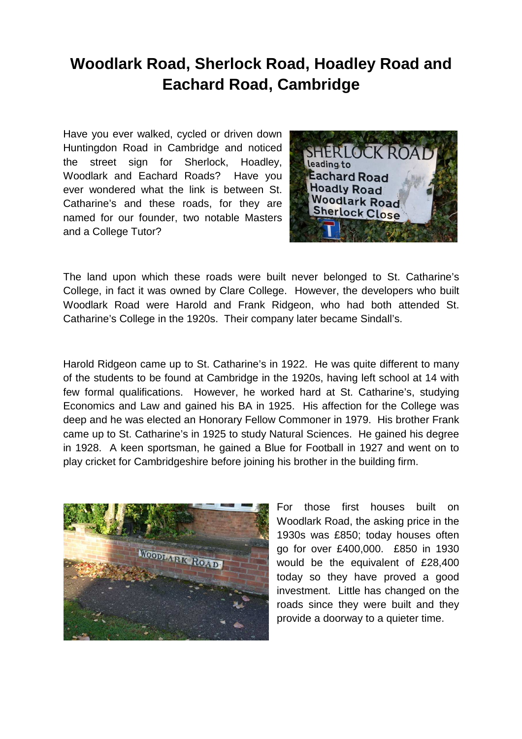## **Woodlark Road, Sherlock Road, Hoadley Road and Eachard Road, Cambridge**

Have you ever walked, cycled or driven down Huntingdon Road in Cambridge and noticed the street sign for Sherlock, Hoadley, Woodlark and Eachard Roads? Have you ever wondered what the link is between St. Catharine's and these roads, for they are named for our founder, two notable Masters and a College Tutor?



The land upon which these roads were built never belonged to St. Catharine's College, in fact it was owned by Clare College. However, the developers who built Woodlark Road were Harold and Frank Ridgeon, who had both attended St. Catharine's College in the 1920s. Their company later became Sindall's.

Harold Ridgeon came up to St. Catharine's in 1922. He was quite different to many of the students to be found at Cambridge in the 1920s, having left school at 14 with few formal qualifications. However, he worked hard at St. Catharine's, studying Economics and Law and gained his BA in 1925. His affection for the College was deep and he was elected an Honorary Fellow Commoner in 1979. His brother Frank came up to St. Catharine's in 1925 to study Natural Sciences. He gained his degree in 1928. A keen sportsman, he gained a Blue for Football in 1927 and went on to play cricket for Cambridgeshire before joining his brother in the building firm.



For those first houses built on Woodlark Road, the asking price in the 1930s was £850; today houses often go for over £400,000. £850 in 1930 would be the equivalent of £28,400 today so they have proved a good investment. Little has changed on the roads since they were built and they provide a doorway to a quieter time.